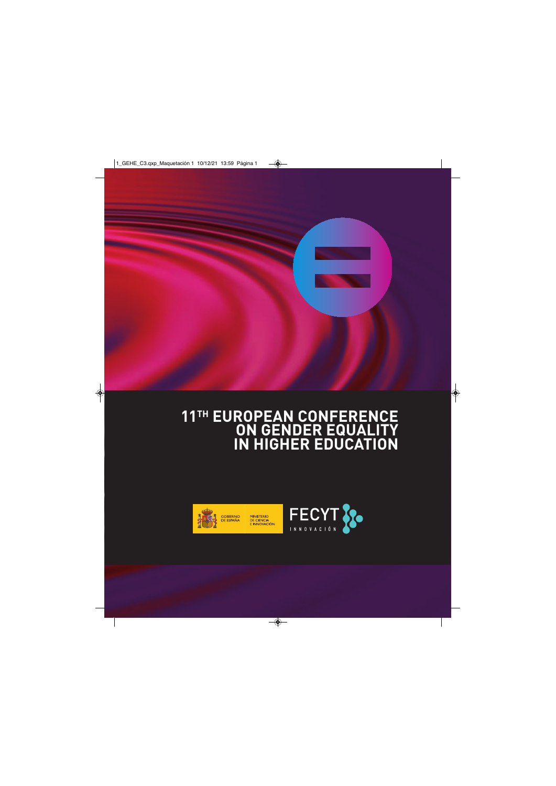

## **11TH EUROPEAN CONFERENCE ON GENDER EQUALITY IN HIGHER EDUCATION**

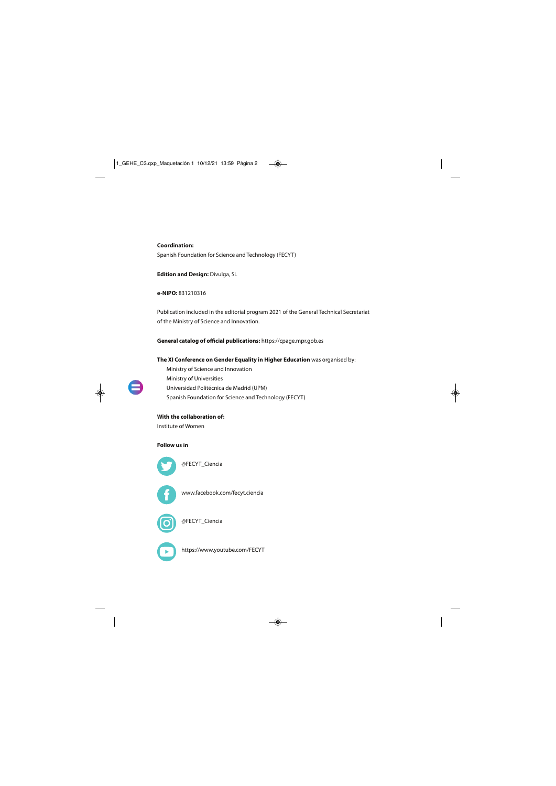#### **Coordination:**

Spanish Foundation for Science and Technology (FECYT)

**Edition and Design:** Divulga, SL

**e-NIPO:** 831210316

Publication included in the editorial program 2021 of the General Technical Secretariat of the Ministry of Science and Innovation.

**General catalog of official publications:** https://cpage.mpr.gob.es

#### **The XI Conference on Gender Equality in Higher Education** was organised by:

Ministry of Science and Innovation Ministry of Universities Universidad Politécnica de Madrid (UPM) Spanish Foundation for Science and Technology (FECYT)

#### **With the collaboration of:**

Institute of Women

#### **Follow us in**



[@FECYT\\_Ciencia](https://twitter.com/FECYT_Ciencia) 



[www.facebook.com/fecyt.ciencia](https://www.facebook.com/fecyt.ciencia) 



[@FECYT\\_Ciencia](https://www.instagram.com/fecyt_ciencia/) 

<https://www.youtube.com/FECYT>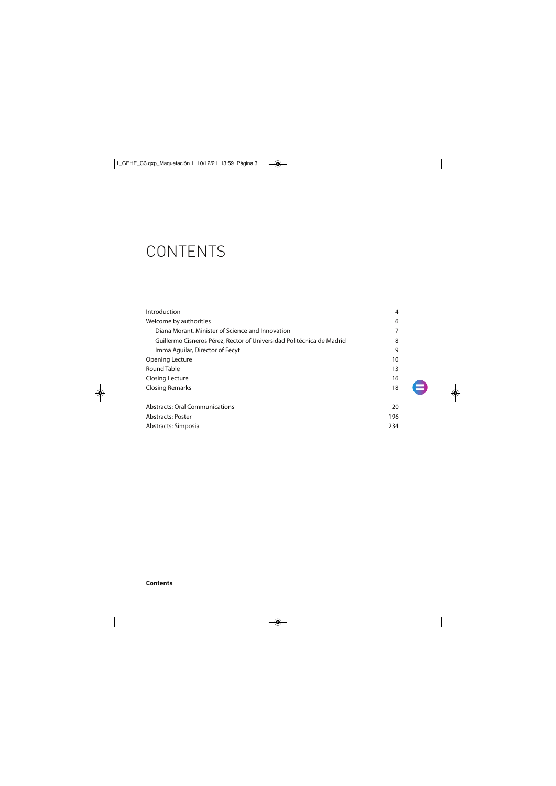# **CONTENTS**

| Introduction                                                          | 4   |
|-----------------------------------------------------------------------|-----|
| Welcome by authorities                                                | 6   |
| Diana Morant, Minister of Science and Innovation                      | 7   |
| Guillermo Cisneros Pérez, Rector of Universidad Politécnica de Madrid | 8   |
| Imma Aguilar, Director of Fecyt                                       | 9   |
| Opening Lecture                                                       | 10  |
| Round Table                                                           | 13  |
| Closing Lecture                                                       | 16  |
| <b>Closing Remarks</b>                                                | 18  |
| <b>Abstracts: Oral Communications</b>                                 | 20  |
| <b>Abstracts: Poster</b>                                              | 196 |
| Abstracts: Simposia                                                   | 234 |

# e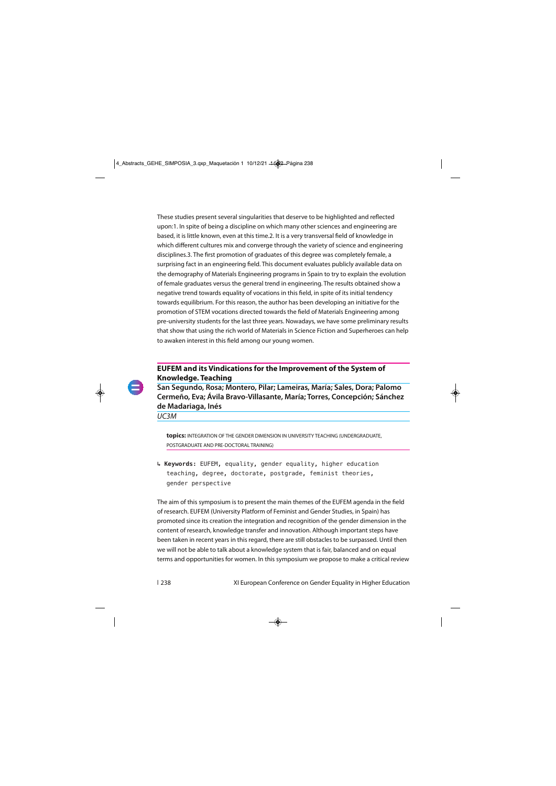These studies present several singularities that deserve to be highlighted and reflected upon:1. In spite of being a discipline on which many other sciences and engineering are based, it is little known, even at this time.2. It is a very transversal field of knowledge in which different cultures mix and converge through the variety of science and engineering disciplines.3. The first promotion of graduates of this degree was completely female, a surprising fact in an engineering field. This document evaluates publicly available data on the demography of Materials Engineering programs in Spain to try to explain the evolution of female graduates versus the general trend in engineering. The results obtained show a negative trend towards equality of vocations in this field, in spite of its initial tendency towards equilibrium. For this reason, the author has been developing an initiative for the promotion of STEM vocations directed towards the field of Materials Engineering among pre-university students for the last three years. Nowadays, we have some preliminary results that show that using the rich world of Materials in Science Fiction and Superheroes can help to awaken interest in this field among our young women.

### **EUFEM and its Vindications for the Improvement of the System of Knowledge. Teaching**

**San Segundo, Rosa; Montero, Pilar; Lameiras, María; Sales, Dora; Palomo Cermeño, Eva; Ávila Bravo-Villasante, María; Torres, Concepción; Sánchez de Madariaga, Inés** 

UC3M

**topics:** INTEGRATION OF THE GENDER DIMENSION IN UNIVERSITY TEACHING (UNDERGRADUATE, POSTGRADUATE AND PRE-DOCTORAL TRAINING)

**↳ Keywords:** EUFEM, equality, gender equality, higher education teaching, degree, doctorate, postgrade, feminist theories, gender perspective

The aim of this symposium is to present the main themes of the EUFEM agenda in the field of research. EUFEM (University Platform of Feminist and Gender Studies, in Spain) has promoted since its creation the integration and recognition of the gender dimension in the content of research, knowledge transfer and innovation. Although important steps have been taken in recent years in this regard, there are still obstacles to be surpassed. Until then we will not be able to talk about a knowledge system that is fair, balanced and on equal terms and opportunities for women. In this symposium we propose to make a critical review